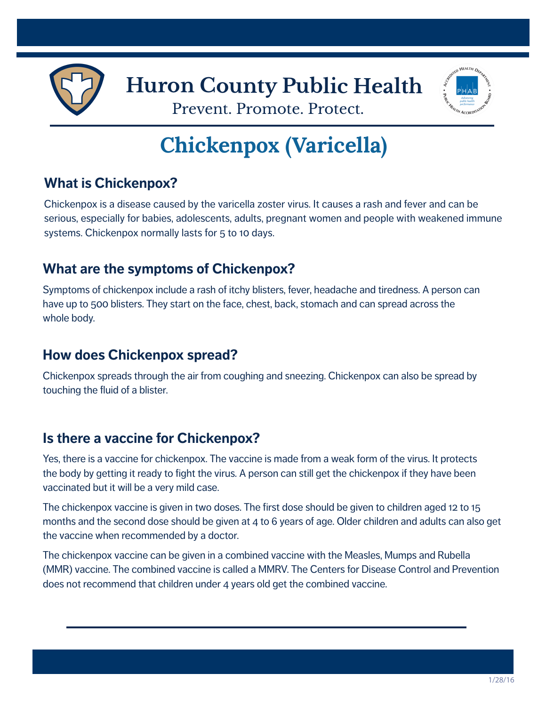



Prevent. Promote. Protect.

# **Chickenpox (Varicella)**

# **What is Chickenpox?**

Chickenpox is a disease caused by the varicella zoster virus. It causes a rash and fever and can be serious, especially for babies, adolescents, adults, pregnant women and people with weakened immune systems. Chickenpox normally lasts for 5 to 10 days.

#### **What are the symptoms of Chickenpox?**

Symptoms of chickenpox include a rash of itchy blisters, fever, headache and tiredness. A person can have up to 500 blisters. They start on the face, chest, back, stomach and can spread across the whole body.

#### **How does Chickenpox spread?**

Chickenpox spreads through the air from coughing and sneezing. Chickenpox can also be spread by touching the fluid of a blister.

# **Is there a vaccine for Chickenpox?**

Yes, there is a vaccine for chickenpox. The vaccine is made from a weak form of the virus. It protects the body by getting it ready to fight the virus. A person can still get the chickenpox if they have been vaccinated but it will be a very mild case.

The chickenpox vaccine is given in two doses. The first dose should be given to children aged 12 to 15 months and the second dose should be given at 4 to 6 years of age. Older children and adults can also get the vaccine when recommended by a doctor.

The chickenpox vaccine can be given in a combined vaccine with the Measles, Mumps and Rubella (MMR) vaccine. The combined vaccine is called a MMRV. The Centers for Disease Control and Prevention does not recommend that children under 4 years old get the combined vaccine.